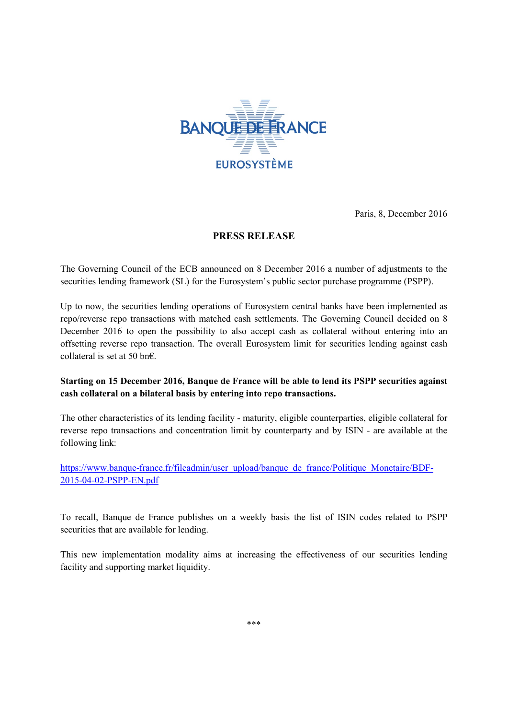

Paris, 8, December 2016

## **PRESS RELEASE**

The Governing Council of the ECB announced on 8 December 2016 a number of adjustments to the securities lending framework (SL) for the Eurosystem's public sector purchase programme (PSPP).

Up to now, the securities lending operations of Eurosystem central banks have been implemented as repo/reverse repo transactions with matched cash settlements. The Governing Council decided on 8 December 2016 to open the possibility to also accept cash as collateral without entering into an offsetting reverse repo transaction. The overall Eurosystem limit for securities lending against cash collateral is set at 50 bn€.

## **Starting on 15 December 2016, Banque de France will be able to lend its PSPP securities against cash collateral on a bilateral basis by entering into repo transactions.**

The other characteristics of its lending facility - maturity, eligible counterparties, eligible collateral for reverse repo transactions and concentration limit by counterparty and by ISIN - are available at the following link:

[https://www.banque-france.fr/fileadmin/user\\_upload/banque\\_de\\_france/Politique\\_Monetaire/BDF-](https://www.banque-france.fr/fileadmin/user_upload/banque_de_france/Politique_Monetaire/BDF-2015-04-02-PSPP-EN.pdf)[2015-04-02-PSPP-EN.pdf](https://www.banque-france.fr/fileadmin/user_upload/banque_de_france/Politique_Monetaire/BDF-2015-04-02-PSPP-EN.pdf)

To recall, Banque de France publishes on a weekly basis the list of ISIN codes related to PSPP securities that are available for lending.

This new implementation modality aims at increasing the effectiveness of our securities lending facility and supporting market liquidity.